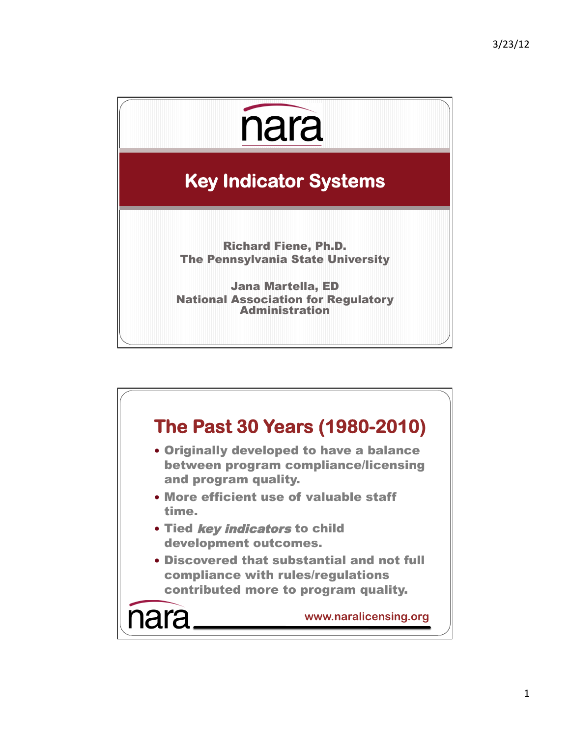

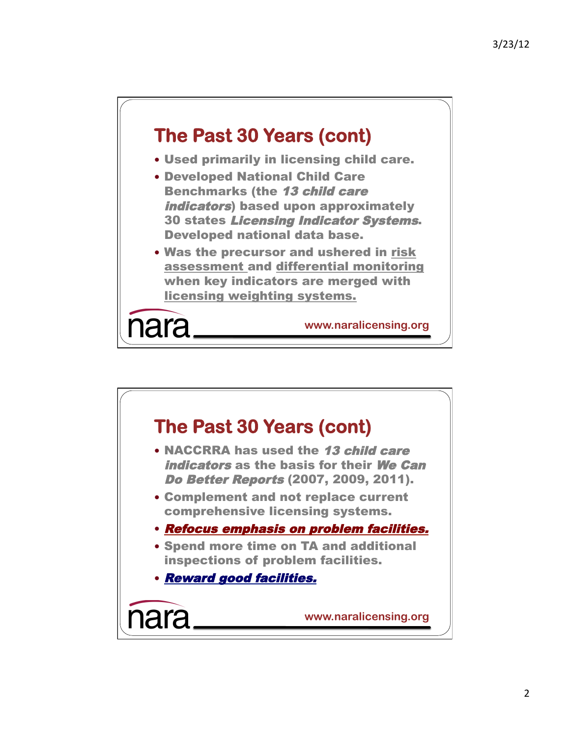

- Used primarily in licensing child care.
- Developed National Child Care Benchmarks (the 13 child care indicators) based upon approximately 30 states Licensing Indicator Systems. Developed national data base.
- Was the precursor and ushered in risk assessment and differential monitoring when key indicators are merged with licensing weighting systems.

nara

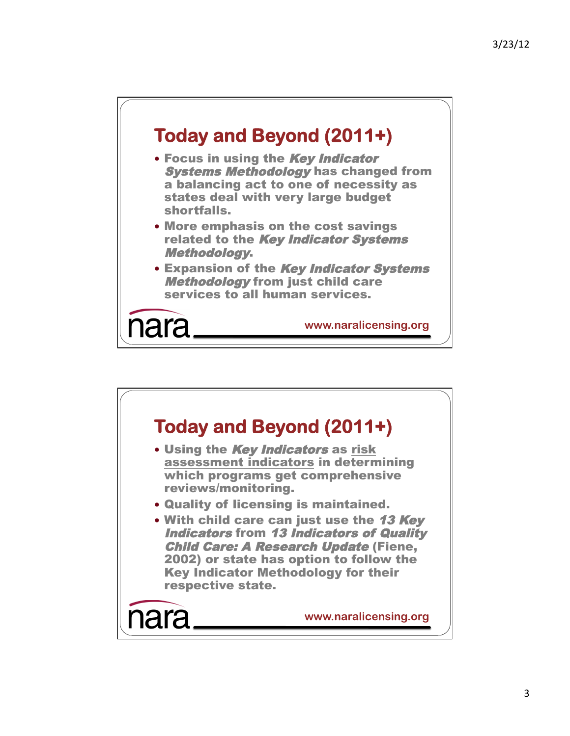

- Focus in using the Key Indicator Systems Methodology has changed from a balancing act to one of necessity as states deal with very large budget shortfalls.
- More emphasis on the cost savings related to the Key Indicator Systems Methodology.
- **Expansion of the Key Indicator Systems Methodology from just child care** services to all human services.

ara

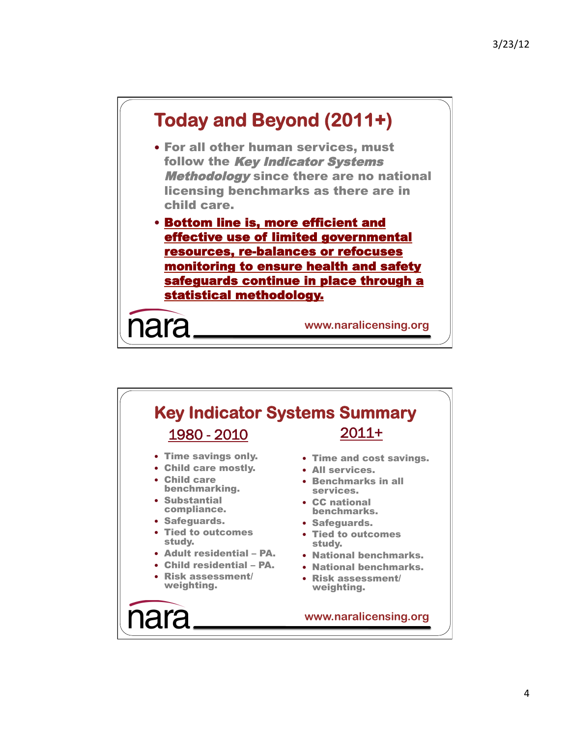

## **Key Indicator Systems Summary**  1980 - 2010 2011+

- Time savings only.
- Child care mostly.
- Child care benchmarking.
- Substantial compliance.
- Safeguards.
- Tied to outcomes study.
- Adult residential PA.
- Child residential PA.
- Risk assessment/ weighting.
- Time and cost savings.
- All services.
- Benchmarks in all services.
- CC national benchmarks.
- Safeguards.
- Tied to outcomes study.
- National benchmarks.
- National benchmarks.
- Risk assessment/ weighting.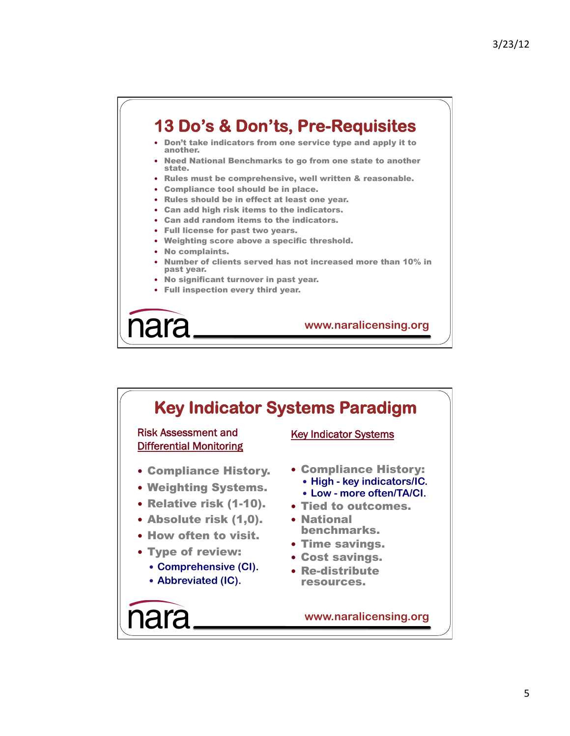## **13 Do's & Don'ts, Pre-Requisites**

- Don't take indicators from one service type and apply it to another.
- Need National Benchmarks to go from one state to another state.
- Rules must be comprehensive, well written & reasonable.
- Compliance tool should be in place.
- Rules should be in effect at least one year.
- Can add high risk items to the indicators.
- Can add random items to the indicators.
- Full license for past two years.
- Weighting score above a specific threshold.
- No complaints.
- Number of clients served has not increased more than 10% in past year.
- No significant turnover in past year.
- Full inspection every third year.

ara